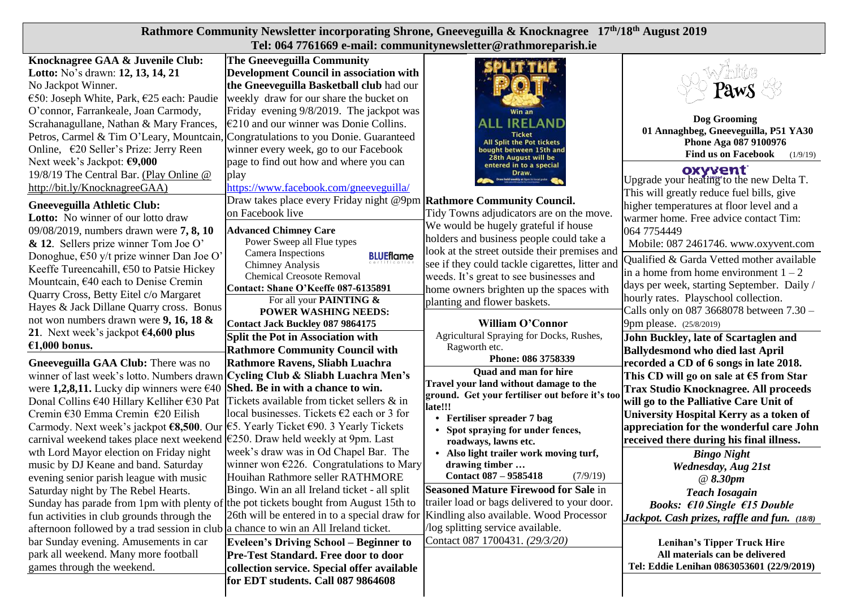| Rathmore Community Newsletter incorporating Shrone, Gneeveguilla & Knocknagree 17th/18th August 2019                                                                                                                                                                                                                                                                                                                         |                                                                                                                                                                                                                                                                                                                                                                                                                                                                                                                                                                                                    |                                                                                                                                                                                                                                                                                                                      |                                                                                                                                                                                                                                                                                                                  |  |  |  |  |  |
|------------------------------------------------------------------------------------------------------------------------------------------------------------------------------------------------------------------------------------------------------------------------------------------------------------------------------------------------------------------------------------------------------------------------------|----------------------------------------------------------------------------------------------------------------------------------------------------------------------------------------------------------------------------------------------------------------------------------------------------------------------------------------------------------------------------------------------------------------------------------------------------------------------------------------------------------------------------------------------------------------------------------------------------|----------------------------------------------------------------------------------------------------------------------------------------------------------------------------------------------------------------------------------------------------------------------------------------------------------------------|------------------------------------------------------------------------------------------------------------------------------------------------------------------------------------------------------------------------------------------------------------------------------------------------------------------|--|--|--|--|--|
|                                                                                                                                                                                                                                                                                                                                                                                                                              | Tel: 064 7761669 e-mail: communitynewsletter@rathmoreparish.ie                                                                                                                                                                                                                                                                                                                                                                                                                                                                                                                                     |                                                                                                                                                                                                                                                                                                                      |                                                                                                                                                                                                                                                                                                                  |  |  |  |  |  |
| Knocknagree GAA & Juvenile Club:<br>Lotto: No's drawn: 12, 13, 14, 21<br>No Jackpot Winner.<br>€50: Joseph White, Park, €25 each: Paudie<br>O'connor, Farrankeale, Joan Carmody,<br>Scrahanagullane, Nathan & Mary Frances,<br>Petros, Carmel & Tim O'Leary, Mountcain,<br>Online, €20 Seller's Prize: Jerry Reen<br>Next week's Jackpot: €9,000<br>19/8/19 The Central Bar. (Play Online @<br>http://bit.ly/KnocknagreeGAA) | <b>The Gneeveguilla Community</b><br><b>Development Council in association with</b><br>the Gneeveguilla Basketball club had our<br>weekly draw for our share the bucket on<br>Friday evening 9/8/2019. The jackpot was<br>$\epsilon$ 210 and our winner was Donie Collins.<br>Congratulations to you Donie. Guaranteed<br>winner every week, go to our Facebook<br>page to find out how and where you can<br>play                                                                                                                                                                                  | Win an<br><b>IRELAND</b><br><b>Ticket</b><br>All Split the Pot tickets<br>oought between 15th and<br>28th August will be<br>entered in to a special<br>Draw.                                                                                                                                                         | PawS<br>Dog Grooming<br>01 Annaghbeg, Gneeveguilla, P51 YA30<br>Phone Aga 087 9100976<br><b>Find us on Facebook</b><br>(1/9/19)<br><b>OXYVENT</b><br>Upgrade your heating to the new Delta T.                                                                                                                    |  |  |  |  |  |
| <b>Gneeveguilla Athletic Club:</b><br>Lotto: No winner of our lotto draw                                                                                                                                                                                                                                                                                                                                                     | https://www.facebook.com/gneeveguilla/<br>Draw takes place every Friday night @9pm<br>on Facebook live                                                                                                                                                                                                                                                                                                                                                                                                                                                                                             | <b>Rathmore Community Council.</b><br>Tidy Towns adjudicators are on the move.<br>We would be hugely grateful if house                                                                                                                                                                                               | This will greatly reduce fuel bills, give<br>higher temperatures at floor level and a<br>warmer home. Free advice contact Tim:                                                                                                                                                                                   |  |  |  |  |  |
| 09/08/2019, numbers drawn were 7, 8, 10<br>$\&$ 12. Sellers prize winner Tom Joe O'<br>Donoghue, $\epsilon$ 50 y/t prize winner Dan Joe O'<br>Keeffe Tureencahill, €50 to Patsie Hickey<br>Mountcain, €40 each to Denise Cremin<br>Quarry Cross, Betty Eitel c/o Margaret<br>Hayes & Jack Dillane Quarry cross. Bonus<br>not won numbers drawn were 9, 16, 18 $\&$                                                           | <b>Advanced Chimney Care</b><br>holders and business people could take a<br>Power Sweep all Flue types<br>look at the street outside their premises and<br>Camera Inspections<br><b>BLUEflame</b><br>see if they could tackle cigarettes, litter and<br>Chimney Analysis<br><b>Chemical Creosote Removal</b><br>weeds. It's great to see businesses and<br>Contact: Shane O'Keeffe 087-6135891<br>home owners brighten up the spaces with<br>For all your PAINTING &<br>planting and flower baskets.<br><b>POWER WASHING NEEDS:</b><br>William O'Connor<br><b>Contact Jack Buckley 087 9864175</b> |                                                                                                                                                                                                                                                                                                                      | 064 7754449<br>Mobile: 087 2461746. www.oxyvent.com<br>Qualified & Garda Vetted mother available<br>in a home from home environment $1 - 2$<br>days per week, starting September. Daily /<br>hourly rates. Playschool collection.<br>Calls only on 087 3668078 between $7.30 -$<br>9pm please. (25/8/2019)       |  |  |  |  |  |
| 21. Next week's jackpot $64,600$ plus<br>€1,000 bonus.                                                                                                                                                                                                                                                                                                                                                                       | <b>Split the Pot in Association with</b><br><b>Rathmore Community Council with</b>                                                                                                                                                                                                                                                                                                                                                                                                                                                                                                                 | Agricultural Spraying for Docks, Rushes,<br>Ragworth etc.                                                                                                                                                                                                                                                            | John Buckley, late of Scartaglen and<br><b>Ballydesmond who died last April</b>                                                                                                                                                                                                                                  |  |  |  |  |  |
| Gneeveguilla GAA Club: There was no<br>winner of last week's lotto. Numbers drawn<br>were 1,2,8,11. Lucky dip winners were €40<br>Donal Collins €40 Hillary Kelliher €30 Pat<br>Cremin €30 Emma Cremin €20 Eilish<br>Carmody. Next week's jackpot €8,500. Our <sup>[€5]</sup> . Yearly Ticket €90. 3 Yearly Tickets<br>carnival weekend takes place next weekend <sup> </sup> €250. Draw held weekly at 9pm. Last            | Rathmore Ravens, Sliabh Luachra<br>Cycling Club & Sliabh Luachra Men's<br>Shed. Be in with a chance to win.<br>Tickets available from ticket sellers & in<br>local businesses. Tickets $\epsilon$ 2 each or 3 for                                                                                                                                                                                                                                                                                                                                                                                  | Phone: 086 3758339<br>Quad and man for hire<br>Travel your land without damage to the<br>ground. Get your fertiliser out before it's too<br>late!!!<br>• Fertiliser spreader 7 bag<br>Spot spraying for under fences,<br>roadways, lawns etc.                                                                        | recorded a CD of 6 songs in late 2018.<br>This CD will go on sale at $65$ from Star<br><b>Trax Studio Knocknagree. All proceeds</b><br>will go to the Palliative Care Unit of<br>University Hospital Kerry as a token of<br>appreciation for the wonderful care John<br>received there during his final illness. |  |  |  |  |  |
| wth Lord Mayor election on Friday night<br>music by DJ Keane and band. Saturday<br>evening senior parish league with music<br>Saturday night by The Rebel Hearts.<br>Sunday has parade from 1pm with plenty of the pot tickets bought from August 15th to<br>fun activities in club grounds through the<br>afternoon followed by a trad session in club a chance to win an All Ireland ticket.                               | week's draw was in Od Chapel Bar. The<br>winner won $E226$ . Congratulations to Mary<br>Houihan Rathmore seller RATHMORE<br>Bingo. Win an all Ireland ticket - all split<br>26th will be entered in to a special draw for                                                                                                                                                                                                                                                                                                                                                                          | • Also light trailer work moving turf,<br>drawing timber<br><b>Contact 087 - 9585418</b><br>(7/9/19)<br><b>Seasoned Mature Firewood for Sale in</b><br>trailer load or bags delivered to your door.<br>Kindling also available. Wood Processor<br>log splitting service available.<br>Contact 087 1700431. (29/3/20) | <b>Bingo Night</b><br><b>Wednesday, Aug 21st</b><br>$\omega$ 8.30pm<br><b>Teach Iosagain</b><br><b>Books:</b> $f10$ Single $f15$ Double<br>Jackpot. Cash prizes, raffle and fun. (18/8)                                                                                                                          |  |  |  |  |  |
| bar Sunday evening. Amusements in car<br>park all weekend. Many more football<br>games through the weekend.                                                                                                                                                                                                                                                                                                                  | <b>Eveleen's Driving School - Beginner to</b><br>Pre-Test Standard. Free door to door<br>collection service. Special offer available                                                                                                                                                                                                                                                                                                                                                                                                                                                               |                                                                                                                                                                                                                                                                                                                      | Lenihan's Tipper Truck Hire<br>All materials can be delivered<br>Tel: Eddie Lenihan 0863053601 (22/9/2019)                                                                                                                                                                                                       |  |  |  |  |  |

**for EDT students. Call 087 9864608**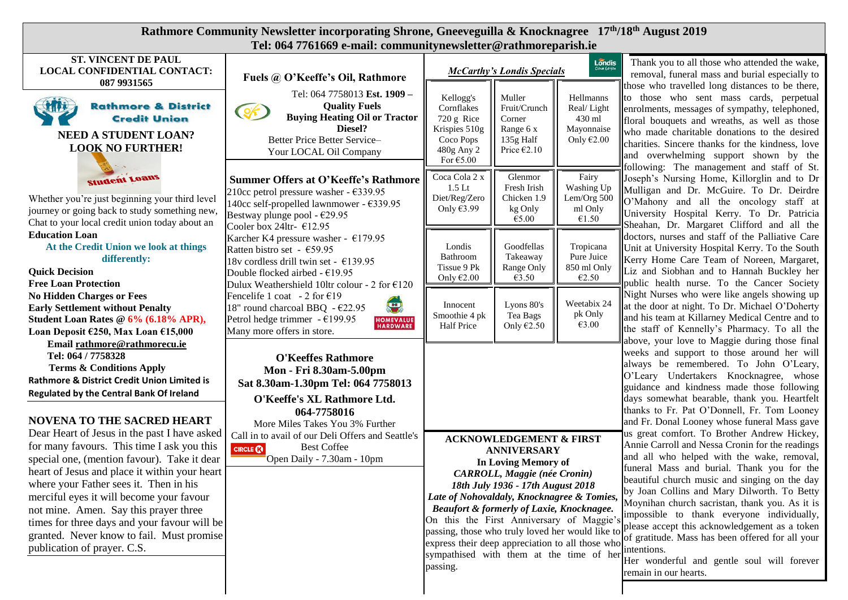| Rathmore Community Newsletter incorporating Shrone, Gneeveguilla & Knocknagree 17th/18th August 2019                                                                                                                                                                                                                                                                                                                                                  |                                                                                                                                                                                                                                        |                                                                                                                                                                                                                                                                                                                                                                                                                                                                     |                                                                                     |                                                                 |                                                                                                                                                                                                                                                                                                                                                                                                                                                                                                                                                                                       |  |  |  |
|-------------------------------------------------------------------------------------------------------------------------------------------------------------------------------------------------------------------------------------------------------------------------------------------------------------------------------------------------------------------------------------------------------------------------------------------------------|----------------------------------------------------------------------------------------------------------------------------------------------------------------------------------------------------------------------------------------|---------------------------------------------------------------------------------------------------------------------------------------------------------------------------------------------------------------------------------------------------------------------------------------------------------------------------------------------------------------------------------------------------------------------------------------------------------------------|-------------------------------------------------------------------------------------|-----------------------------------------------------------------|---------------------------------------------------------------------------------------------------------------------------------------------------------------------------------------------------------------------------------------------------------------------------------------------------------------------------------------------------------------------------------------------------------------------------------------------------------------------------------------------------------------------------------------------------------------------------------------|--|--|--|
|                                                                                                                                                                                                                                                                                                                                                                                                                                                       | Tel: 064 7761669 e-mail: communitynewsletter@rathmoreparish.ie                                                                                                                                                                         |                                                                                                                                                                                                                                                                                                                                                                                                                                                                     |                                                                                     |                                                                 |                                                                                                                                                                                                                                                                                                                                                                                                                                                                                                                                                                                       |  |  |  |
| <b>ST. VINCENT DE PAUL</b><br>LOCAL CONFIDENTIAL CONTACT:<br>087 9931565                                                                                                                                                                                                                                                                                                                                                                              | Fuels @ O'Keeffe's Oil, Rathmore                                                                                                                                                                                                       | $L$ ondis<br><b>McCarthy's Londis Specials</b>                                                                                                                                                                                                                                                                                                                                                                                                                      |                                                                                     |                                                                 | Thank you to all those who attended the wake,<br>removal, funeral mass and burial especially to<br>those who travelled long distances to be there,                                                                                                                                                                                                                                                                                                                                                                                                                                    |  |  |  |
| <b>Rathmore &amp; District</b><br><b>Ville</b><br><b>Credit Union</b><br><b>NEED A STUDENT LOAN?</b><br><b>LOOK NO FURTHER!</b>                                                                                                                                                                                                                                                                                                                       | Tel: 064 7758013 Est. 1909 -<br><b>Quality Fuels</b><br>$Q_{\mathcal{F}}$<br><b>Buying Heating Oil or Tractor</b><br>Diesel?<br>Better Price Better Service-<br>Your LOCAL Oil Company                                                 | Kellogg's<br>Cornflakes<br>720 g Rice<br>Krispies 510g<br>Coco Pops<br>480g Any 2<br>For $€5.00$                                                                                                                                                                                                                                                                                                                                                                    | Muller<br>Fruit/Crunch<br>Corner<br>Range 6 x<br>135g Half<br>Price $\epsilon$ 2.10 | Hellmanns<br>Real/Light<br>430 ml<br>Mayonnaise<br>Only $€2.00$ | to those who sent mass cards, perpetual<br>enrolments, messages of sympathy, telephoned,<br>floral bouquets and wreaths, as well as those<br>who made charitable donations to the desired<br>charities. Sincere thanks for the kindness, love<br>and overwhelming support shown by the                                                                                                                                                                                                                                                                                                |  |  |  |
| <b>Student Loans</b><br>Whether you're just beginning your third level<br>journey or going back to study something new,<br>Chat to your local credit union today about an                                                                                                                                                                                                                                                                             | <b>Summer Offers at O'Keeffe's Rathmore</b><br>210cc petrol pressure washer - €339.95<br>140cc self-propelled lawnmower - €339.95<br>Bestway plunge pool - €29.95<br>Cooler box 24ltr- €12.95                                          | Coca Cola 2 x<br>$1.5$ Lt<br>Diet/Reg/Zero<br>Only €3.99                                                                                                                                                                                                                                                                                                                                                                                                            | Glenmor<br>Fresh Irish<br>Chicken 1.9<br>kg Only<br>€5.00                           | Fairy<br>Washing Up<br>Lem/Org 500<br>ml Only<br>€1.50          | following: The management and staff of St.<br>Joseph's Nursing Home, Killorglin and to Dr<br>Mulligan and Dr. McGuire. To Dr. Deirdre<br>O'Mahony and all the oncology staff at<br>University Hospital Kerry. To Dr. Patricia<br>Sheahan, Dr. Margaret Clifford and all the                                                                                                                                                                                                                                                                                                           |  |  |  |
| <b>Education Loan</b><br>At the Credit Union we look at things<br>differently:<br><b>Quick Decision</b><br><b>Free Loan Protection</b>                                                                                                                                                                                                                                                                                                                | Karcher K4 pressure washer - $€179.95$<br>Ratten bistro set - €59.95<br>18v cordless drill twin set - $€139.95$<br>Double flocked airbed - $£19.95$<br>Dulux Weathershield 10ltr colour - 2 for €120                                   | Londis<br>Bathroom<br>Tissue 9 Pk<br>Only $€2.00$                                                                                                                                                                                                                                                                                                                                                                                                                   | Goodfellas<br>Takeaway<br>Range Only<br>€3.50                                       | Tropicana<br>Pure Juice<br>850 ml Only<br>€2.50                 | doctors, nurses and staff of the Palliative Care<br>Unit at University Hospital Kerry. To the South<br>Kerry Home Care Team of Noreen, Margaret,<br>Liz and Siobhan and to Hannah Buckley her<br>public health nurse. To the Cancer Society                                                                                                                                                                                                                                                                                                                                           |  |  |  |
| <b>No Hidden Charges or Fees</b><br><b>Early Settlement without Penalty</b><br>Student Loan Rates @ 6% (6.18% APR),<br>Loan Deposit €250, Max Loan €15,000<br>Email rathmore@rathmorecu.ie                                                                                                                                                                                                                                                            | Fencelife 1 coat - 2 for $\epsilon$ 19<br>$\left( \begin{matrix} \textbf{u} \end{matrix} \right)$<br>18" round charcoal BBQ - €22.95<br>Petrol hedge trimmer - $€199.95$<br><b>HOMEVALUE</b><br>HARDWARE<br>Many more offers in store. | Innocent<br>Smoothie 4 pk<br><b>Half Price</b>                                                                                                                                                                                                                                                                                                                                                                                                                      | Lyons 80's<br>Tea Bags<br>Only $E2.50$                                              | Weetabix 24<br>pk Only<br>€3.00                                 | Night Nurses who were like angels showing up<br>at the door at night. To Dr. Michael O'Doherty<br>and his team at Killarney Medical Centre and to<br>the staff of Kennelly's Pharmacy. To all the<br>above, your love to Maggie during those final                                                                                                                                                                                                                                                                                                                                    |  |  |  |
| Tel: 064 / 7758328<br><b>Terms &amp; Conditions Apply</b><br>Rathmore & District Credit Union Limited is<br>Regulated by the Central Bank Of Ireland<br><b>NOVENA TO THE SACRED HEART</b>                                                                                                                                                                                                                                                             | <b>O'Keeffes Rathmore</b><br>Mon - Fri 8.30am-5.00pm<br>Sat 8.30am-1.30pm Tel: 064 7758013<br>O'Keeffe's XL Rathmore Ltd.<br>064-7758016<br>More Miles Takes You 3% Further                                                            |                                                                                                                                                                                                                                                                                                                                                                                                                                                                     |                                                                                     |                                                                 | weeks and support to those around her will<br>always be remembered. To John O'Leary,<br>O'Leary Undertakers Knocknagree, whose<br>guidance and kindness made those following<br>days somewhat bearable, thank you. Heartfelt<br>thanks to Fr. Pat O'Donnell, Fr. Tom Looney<br>and Fr. Donal Looney whose funeral Mass gave                                                                                                                                                                                                                                                           |  |  |  |
| Dear Heart of Jesus in the past I have asked<br>for many favours. This time I ask you this<br>special one, (mention favour). Take it dear<br>heart of Jesus and place it within your heart<br>where your Father sees it. Then in his<br>merciful eyes it will become your favour<br>not mine. Amen. Say this prayer three<br>times for three days and your favour will be<br>granted. Never know to fail. Must promise<br>publication of prayer. C.S. | Call in to avail of our Deli Offers and Seattle's<br><b>Best Coffee</b><br><b>CIRCLE CO</b><br>Open Daily - 7.30am - 10pm                                                                                                              | <b>ACKNOWLEDGEMENT &amp; FIRST</b><br><b>ANNIVERSARY</b><br>In Loving Memory of<br><b>CARROLL, Maggie (née Cronin)</b><br>18th July 1936 - 17th August 2018<br>Late of Nohovaldaly, Knocknagree & Tomies,<br>Beaufort & formerly of Laxie, Knocknagee.<br>On this the First Anniversary of Maggie's<br>passing, those who truly loved her would like to<br>express their deep appreciation to all those who<br>sympathised with them at the time of her<br>passing. |                                                                                     |                                                                 | us great comfort. To Brother Andrew Hickey,<br>Annie Carroll and Nessa Cronin for the readings<br>and all who helped with the wake, removal,<br>funeral Mass and burial. Thank you for the<br>beautiful church music and singing on the day<br>by Joan Collins and Mary Dilworth. To Betty<br>Moynihan church sacristan, thank you. As it is<br>impossible to thank everyone individually,<br>please accept this acknowledgement as a token<br>of gratitude. Mass has been offered for all your<br>intentions.<br>Her wonderful and gentle soul will forever<br>remain in our hearts. |  |  |  |

 $\mathbf{I}$